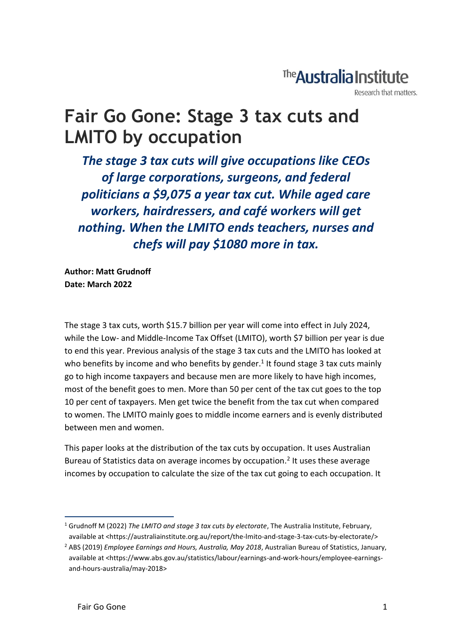# The **Australia Institute**

Research that matters.

# **Fair Go Gone: Stage 3 tax cuts and LMITO by occupation**

*The stage 3 tax cuts will give occupations like CEOs of large corporations, surgeons, and federal politicians a \$9,075 a year tax cut. While aged care workers, hairdressers, and café workers will get nothing. When the LMITO ends teachers, nurses and chefs will pay \$1080 more in tax.*

**Author: Matt Grudnoff Date: March 2022**

The stage 3 tax cuts, worth \$15.7 billion per year will come into effect in July 2024, while the Low- and Middle-Income Tax Offset (LMITO), worth \$7 billion per year is due to end this year. Previous analysis of the stage 3 tax cuts and the LMITO has looked at who benefits by income and who benefits by gender.<sup>1</sup> It found stage 3 tax cuts mainly go to high income taxpayers and because men are more likely to have high incomes, most of the benefit goes to men. More than 50 per cent of the tax cut goes to the top 10 per cent of taxpayers. Men get twice the benefit from the tax cut when compared to women. The LMITO mainly goes to middle income earners and is evenly distributed between men and women.

This paper looks at the distribution of the tax cuts by occupation. It uses Australian Bureau of Statistics data on average incomes by occupation.<sup>2</sup> It uses these average incomes by occupation to calculate the size of the tax cut going to each occupation. It

<sup>1</sup> Grudnoff M (2022) *The LMITO and stage 3 tax cuts by electorate*, The Australia Institute, February, available at <https://australiainstitute.org.au/report/the-lmito-and-stage-3-tax-cuts-by-electorate/>

<sup>2</sup> ABS (2019) *Employee Earnings and Hours, Australia, May 2018*, Australian Bureau of Statistics, January, available at <https://www.abs.gov.au/statistics/labour/earnings-and-work-hours/employee-earningsand-hours-australia/may-2018>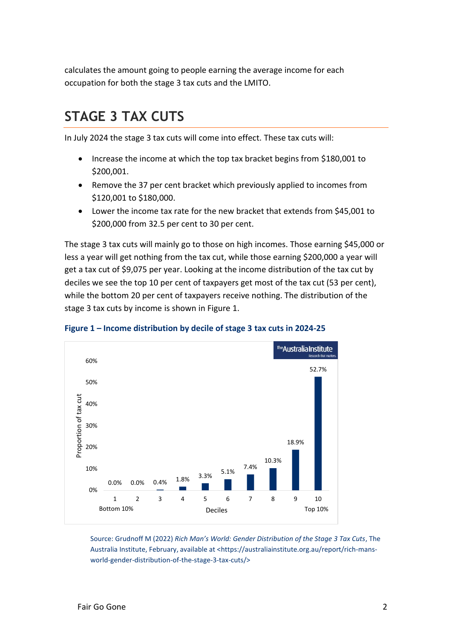calculates the amount going to people earning the average income for each occupation for both the stage 3 tax cuts and the LMITO.

## **STAGE 3 TAX CUTS**

In July 2024 the stage 3 tax cuts will come into effect. These tax cuts will:

- Increase the income at which the top tax bracket begins from \$180,001 to \$200,001.
- Remove the 37 per cent bracket which previously applied to incomes from \$120,001 to \$180,000.
- Lower the income tax rate for the new bracket that extends from \$45,001 to \$200,000 from 32.5 per cent to 30 per cent.

The stage 3 tax cuts will mainly go to those on high incomes. Those earning \$45,000 or less a year will get nothing from the tax cut, while those earning \$200,000 a year will get a tax cut of \$9,075 per year. Looking at the income distribution of the tax cut by deciles we see the top 10 per cent of taxpayers get most of the tax cut (53 per cent), while the bottom 20 per cent of taxpayers receive nothing. The distribution of the stage 3 tax cuts by income is shown in Figure 1.



#### **Figure 1 – Income distribution by decile of stage 3 tax cuts in 2024-25**

Source: Grudnoff M (2022) *Rich Man's World: Gender Distribution of the Stage 3 Tax Cuts*, The Australia Institute, February, available at <https://australiainstitute.org.au/report/rich-mansworld-gender-distribution-of-the-stage-3-tax-cuts/>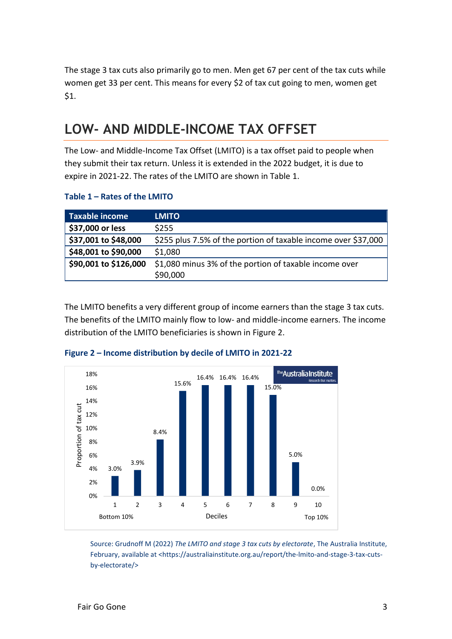The stage 3 tax cuts also primarily go to men. Men get 67 per cent of the tax cuts while women get 33 per cent. This means for every \$2 of tax cut going to men, women get \$1.

# **LOW- AND MIDDLE-INCOME TAX OFFSET**

The Low- and Middle-Income Tax Offset (LMITO) is a tax offset paid to people when they submit their tax return. Unless it is extended in the 2022 budget, it is due to expire in 2021-22. The rates of the LMITO are shown in Table 1.

#### **Table 1 – Rates of the LMITO**

| <b>Taxable income</b> | <b>LMITO</b>                                                   |
|-----------------------|----------------------------------------------------------------|
| \$37,000 or less      | \$255                                                          |
| \$37,001 to \$48,000  | \$255 plus 7.5% of the portion of taxable income over \$37,000 |
| \$48,001 to \$90,000  | \$1,080                                                        |
| \$90,001 to \$126,000 | \$1,080 minus 3% of the portion of taxable income over         |
|                       | \$90,000                                                       |

The LMITO benefits a very different group of income earners than the stage 3 tax cuts. The benefits of the LMITO mainly flow to low- and middle-income earners. The income distribution of the LMITO beneficiaries is shown in Figure 2.



#### **Figure 2 – Income distribution by decile of LMITO in 2021-22**

Source: Grudnoff M (2022) *The LMITO and stage 3 tax cuts by electorate*, The Australia Institute, February, available at <https://australiainstitute.org.au/report/the-lmito-and-stage-3-tax-cutsby-electorate/>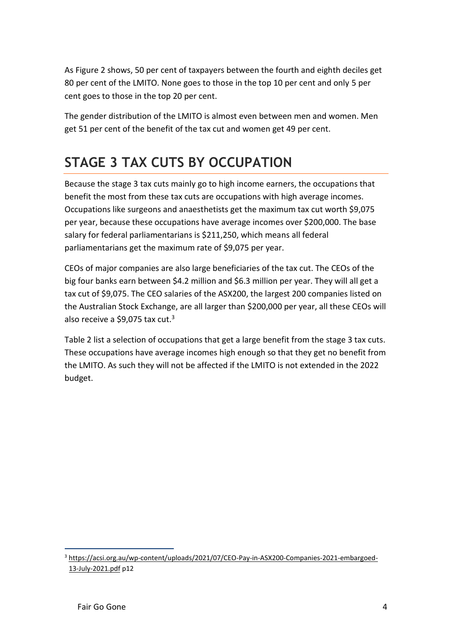As Figure 2 shows, 50 per cent of taxpayers between the fourth and eighth deciles get 80 per cent of the LMITO. None goes to those in the top 10 per cent and only 5 per cent goes to those in the top 20 per cent.

The gender distribution of the LMITO is almost even between men and women. Men get 51 per cent of the benefit of the tax cut and women get 49 per cent.

# **STAGE 3 TAX CUTS BY OCCUPATION**

Because the stage 3 tax cuts mainly go to high income earners, the occupations that benefit the most from these tax cuts are occupations with high average incomes. Occupations like surgeons and anaesthetists get the maximum tax cut worth \$9,075 per year, because these occupations have average incomes over \$200,000. The base salary for federal parliamentarians is \$211,250, which means all federal parliamentarians get the maximum rate of \$9,075 per year.

CEOs of major companies are also large beneficiaries of the tax cut. The CEOs of the big four banks earn between \$4.2 million and \$6.3 million per year. They will all get a tax cut of \$9,075. The CEO salaries of the ASX200, the largest 200 companies listed on the Australian Stock Exchange, are all larger than \$200,000 per year, all these CEOs will also receive a \$9,075 tax cut. $3$ 

Table 2 list a selection of occupations that get a large benefit from the stage 3 tax cuts. These occupations have average incomes high enough so that they get no benefit from the LMITO. As such they will not be affected if the LMITO is not extended in the 2022 budget.

<sup>3</sup> [https://acsi.org.au/wp-content/uploads/2021/07/CEO-Pay-in-ASX200-Companies-2021-embargoed-](https://acsi.org.au/wp-content/uploads/2021/07/CEO-Pay-in-ASX200-Companies-2021-embargoed-13-July-2021.pdf)[13-July-2021.pdf](https://acsi.org.au/wp-content/uploads/2021/07/CEO-Pay-in-ASX200-Companies-2021-embargoed-13-July-2021.pdf) p12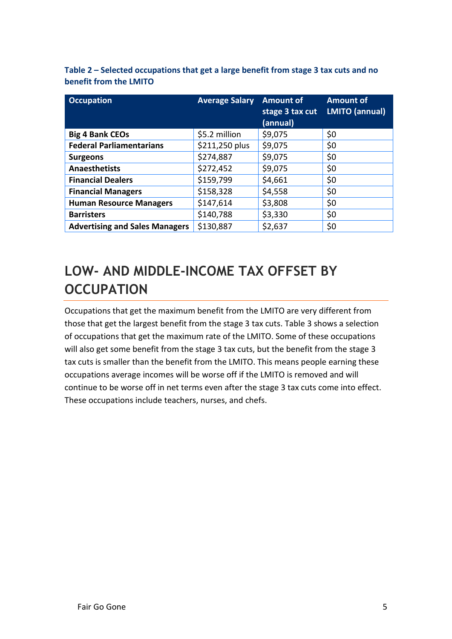| <b>Occupation</b>                     | <b>Average Salary</b> Amount of | stage 3 tax cut<br>(annual) | <b>Amount of</b><br><b>LMITO (annual)</b> |
|---------------------------------------|---------------------------------|-----------------------------|-------------------------------------------|
| <b>Big 4 Bank CEOs</b>                | \$5.2 million                   | \$9,075                     | \$0                                       |
| <b>Federal Parliamentarians</b>       | \$211,250 plus                  | \$9,075                     | \$0                                       |
| <b>Surgeons</b>                       | \$274,887                       | \$9,075                     | \$0                                       |
| <b>Anaesthetists</b>                  | \$272,452                       | \$9,075                     | \$0                                       |
| <b>Financial Dealers</b>              | \$159,799                       | \$4,661                     | \$0                                       |
| <b>Financial Managers</b>             | \$158,328                       | \$4,558                     | \$0                                       |
| <b>Human Resource Managers</b>        | \$147,614                       | \$3,808                     | \$0                                       |
| <b>Barristers</b>                     | \$140,788                       | \$3,330                     | \$0                                       |
| <b>Advertising and Sales Managers</b> | \$130,887                       | \$2,637                     | \$0                                       |

**Table 2 – Selected occupations that get a large benefit from stage 3 tax cuts and no benefit from the LMITO**

## **LOW- AND MIDDLE-INCOME TAX OFFSET BY OCCUPATION**

Occupations that get the maximum benefit from the LMITO are very different from those that get the largest benefit from the stage 3 tax cuts. Table 3 shows a selection of occupations that get the maximum rate of the LMITO. Some of these occupations will also get some benefit from the stage 3 tax cuts, but the benefit from the stage 3 tax cuts is smaller than the benefit from the LMITO. This means people earning these occupations average incomes will be worse off if the LMITO is removed and will continue to be worse off in net terms even after the stage 3 tax cuts come into effect. These occupations include teachers, nurses, and chefs.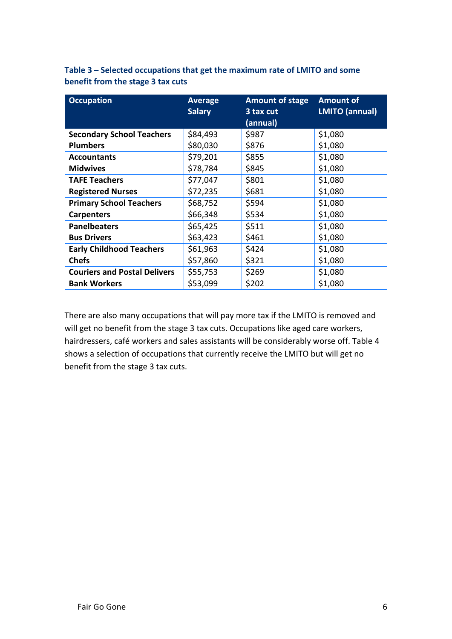| <b>Occupation</b>                   | <b>Average</b><br><b>Salary</b> | <b>Amount of stage</b><br>3 tax cut<br>(annual) | <b>Amount of</b><br><b>LMITO (annual)</b> |
|-------------------------------------|---------------------------------|-------------------------------------------------|-------------------------------------------|
| <b>Secondary School Teachers</b>    | \$84,493                        | \$987                                           | \$1,080                                   |
| <b>Plumbers</b>                     | \$80,030                        | \$876                                           | \$1,080                                   |
| <b>Accountants</b>                  | \$79,201                        | \$855                                           | \$1,080                                   |
| <b>Midwives</b>                     | \$78,784                        | \$845                                           | \$1,080                                   |
| <b>TAFE Teachers</b>                | \$77,047                        | \$801                                           | \$1,080                                   |
| <b>Registered Nurses</b>            | \$72,235                        | \$681                                           | \$1,080                                   |
| <b>Primary School Teachers</b>      | \$68,752                        | \$594                                           | \$1,080                                   |
| <b>Carpenters</b>                   | \$66,348                        | \$534                                           | \$1,080                                   |
| <b>Panelbeaters</b>                 | \$65,425                        | \$511                                           | \$1,080                                   |
| <b>Bus Drivers</b>                  | \$63,423                        | \$461                                           | \$1,080                                   |
| <b>Early Childhood Teachers</b>     | \$61,963                        | \$424                                           | \$1,080                                   |
| <b>Chefs</b>                        | \$57,860                        | \$321                                           | \$1,080                                   |
| <b>Couriers and Postal Delivers</b> | \$55,753                        | \$269                                           | \$1,080                                   |
| <b>Bank Workers</b>                 | \$53,099                        | \$202                                           | \$1,080                                   |

**Table 3 – Selected occupations that get the maximum rate of LMITO and some benefit from the stage 3 tax cuts**

There are also many occupations that will pay more tax if the LMITO is removed and will get no benefit from the stage 3 tax cuts. Occupations like aged care workers, hairdressers, café workers and sales assistants will be considerably worse off. Table 4 shows a selection of occupations that currently receive the LMITO but will get no benefit from the stage 3 tax cuts.